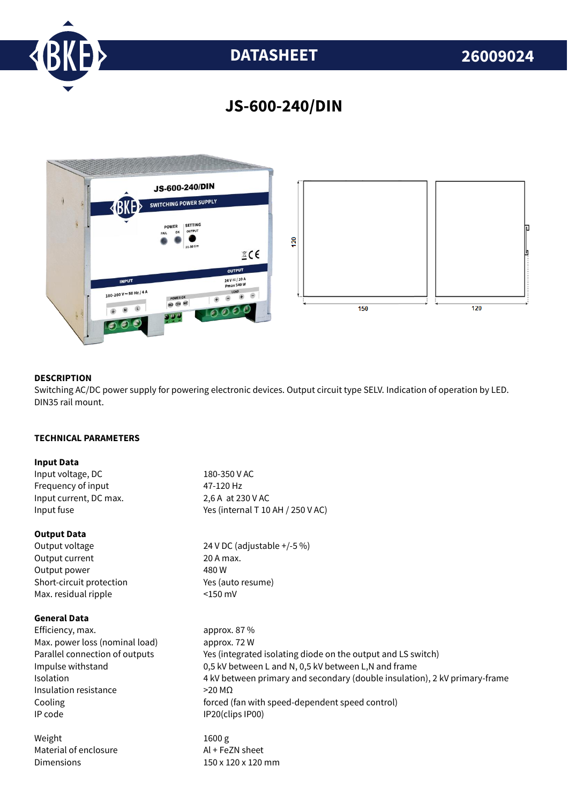

# **JS-600-240/DIN**



# **DESCRIPTION**

Switching AC/DC power supply for powering electronic devices. Output circuit type SELV. Indication of operation by LED. DIN35 rail mount.

## **TECHNICAL PARAMETERS**

#### **Input Data**

Input voltage, DC 180-350 V AC<br>Frequency of input 17-120 Hz Frequency of input Input current, DC max. 2,6 A at 230 V AC Input fuse  $Y$ es (internal T 10 AH / 250 V AC)

## **Output Data**

Output current 20 A max. Output power 480 W Short-circuit protection Yes (auto resume) Max. residual ripple <150 mV

#### **General Data**

Efficiency, max. approx. 87 % Max. power loss (nominal load) approx. 72 W Insulation resistance >20 MΩ IP code IP20(clips IP00)

Weight 1600 g Material of enclosure Al + FeZN sheet Dimensions 150 x 120 x 120 mm

Output voltage 24 V DC (adjustable +/-5 %)

Parallel connection of outputs Yes (integrated isolating diode on the output and LS switch) Impulse withstand 0,5 kV between L and N, 0,5 kV between L,N and frame Isolation 4 kV between primary and secondary (double insulation), 2 kV primary-frame Cooling forced (fan with speed-dependent speed control)